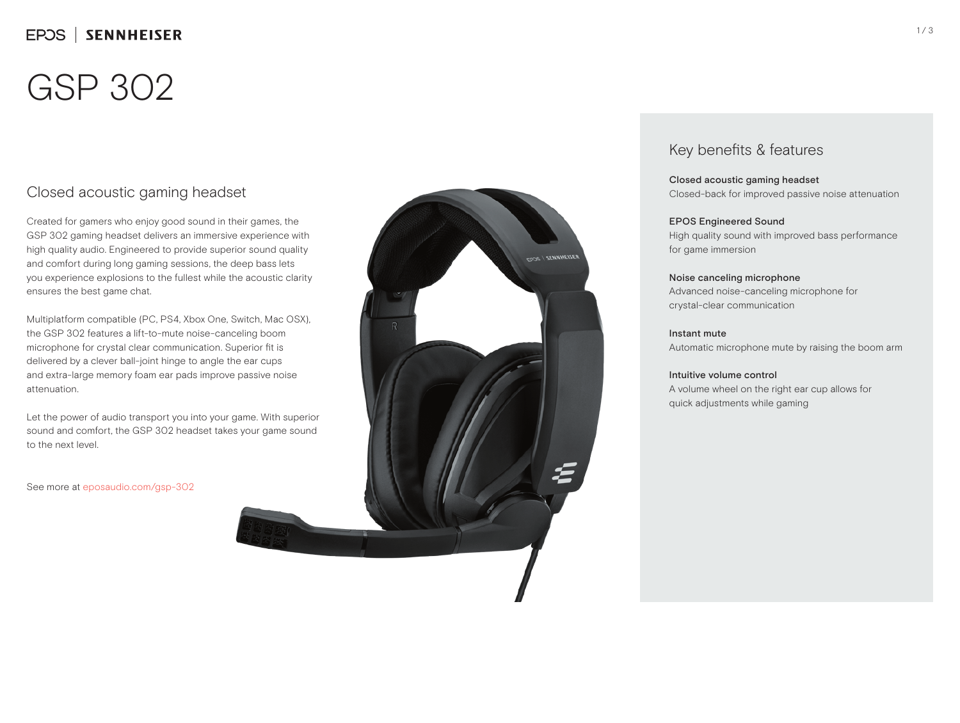## EPOS | SENNHEISER

# GSP 302

### Closed acoustic gaming headset

Created for gamers who enjoy good sound in their games, the GSP 302 gaming headset delivers an immersive experience with high quality audio. Engineered to provide superior sound quality and comfort during long gaming sessions, the deep bass lets you experience explosions to the fullest while the acoustic clarity ensures the best game chat.

Multiplatform compatible (PC, PS4, Xbox One, Switch, Mac OSX), the GSP 302 features a lift-to-mute noise-canceling boom microphone for crystal clear communication. Superior fit is delivered by a clever ball-joint hinge to angle the ear cups and extra-large memory foam ear pads improve passive noise attenuation.

Let the power of audio transport you into your game. With superior sound and comfort, the GSP 302 headset takes your game sound to the next level.

See more at eposaudio.com/gsp-302



### Key benefits & features

Closed acoustic gaming headset Closed-back for improved passive noise attenuation

#### EPOS Engineered Sound

High quality sound with improved bass performance for game immersion

### Noise canceling microphone

Advanced noise-canceling microphone for crystal-clear communication

#### Instant mute

Automatic microphone mute by raising the boom arm

### Intuitive volume control

A volume wheel on the right ear cup allows for quick adjustments while gaming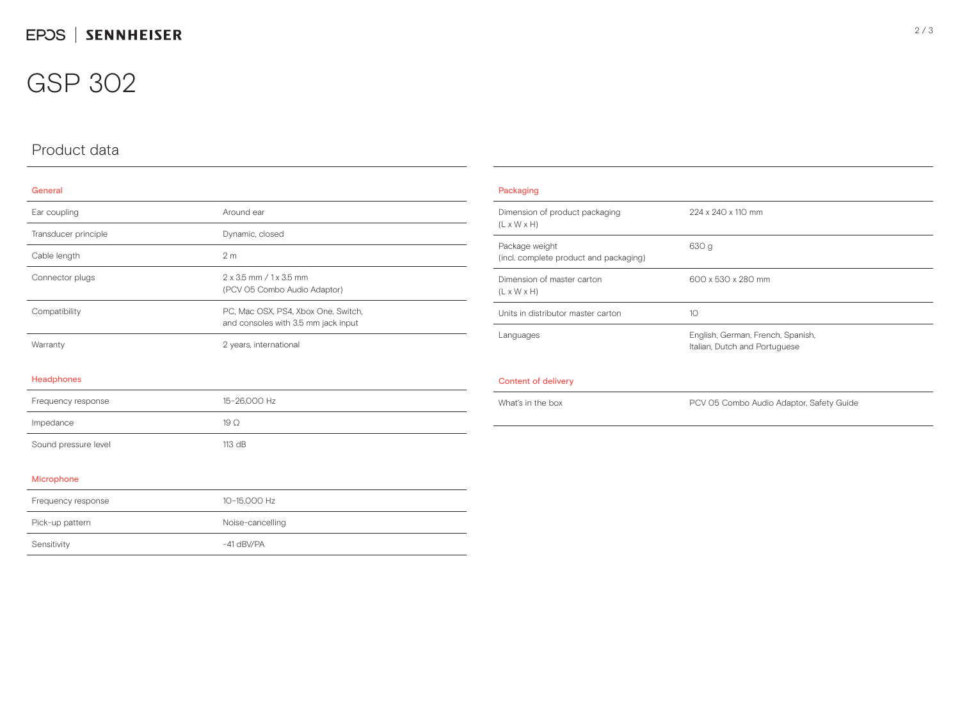## GSP 302

## Product data

### General

| Ear coupling         | Around ear                                                                 |
|----------------------|----------------------------------------------------------------------------|
| Transducer principle | Dynamic, closed                                                            |
| Cable length         | 2 <sub>m</sub>                                                             |
| Connector plugs      | 2 x 3.5 mm / 1 x 3.5 mm<br>(PCV 05 Combo Audio Adaptor)                    |
| Compatibility        | PC, Mac OSX, PS4, Xbox One, Switch,<br>and consoles with 3.5 mm jack input |
| Warranty             | 2 years, international                                                     |
| Headphones           |                                                                            |
| Frequency response   | 15-26,000 Hz                                                               |
| Impedance            | $19\Omega$                                                                 |
| Sound pressure level | 113 dB                                                                     |
| $\cdots$             |                                                                            |

| Packaging                                                 |                                                                    |
|-----------------------------------------------------------|--------------------------------------------------------------------|
| Dimension of product packaging<br>$(L \times W \times H)$ | 224 x 240 x 110 mm                                                 |
| Package weight<br>(incl. complete product and packaging)  | 630 g                                                              |
| Dimension of master carton<br>$(L \times W \times H)$     | 600 x 530 x 280 mm                                                 |
| Units in distributor master carton                        | 10                                                                 |
| Languages                                                 | English, German, French, Spanish,<br>Italian, Dutch and Portuguese |
| Content of delivery                                       |                                                                    |
| What's in the box                                         | PCV 05 Combo Audio Adaptor, Safety Guide                           |

### Microphone

| Frequency response | 10-15.000 Hz     |
|--------------------|------------------|
| Pick-up pattern    | Noise-cancelling |
| Sensitivity        | $-41$ dBV/PA     |